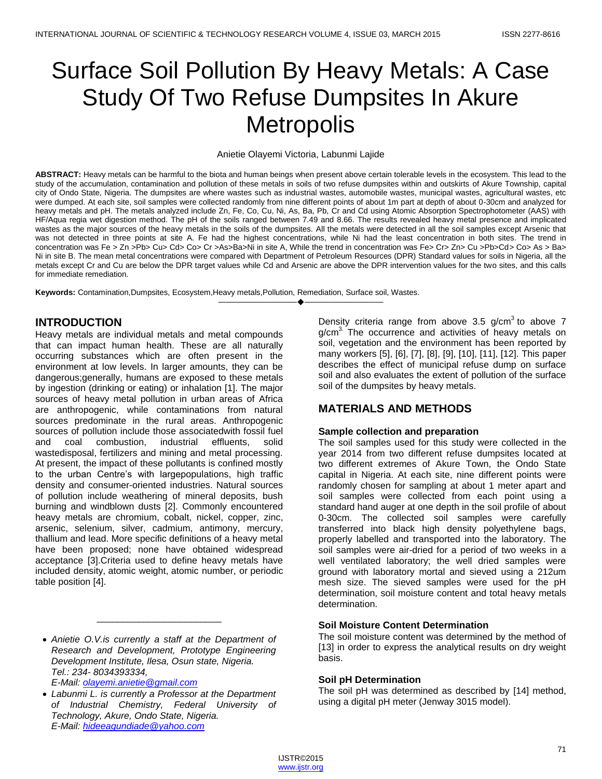# Surface Soil Pollution By Heavy Metals: A Case Study Of Two Refuse Dumpsites In Akure **Metropolis**

#### Anietie Olayemi Victoria, Labunmi Lajide

**ABSTRACT:** Heavy metals can be harmful to the biota and human beings when present above certain tolerable levels in the ecosystem. This lead to the study of the accumulation, contamination and pollution of these metals in soils of two refuse dumpsites within and outskirts of Akure Township, capital city of Ondo State, Nigeria. The dumpsites are where wastes such as industrial wastes, automobile wastes, municipal wastes, agricultural wastes, etc were dumped. At each site, soil samples were collected randomly from nine different points of about 1m part at depth of about 0-30cm and analyzed for heavy metals and pH. The metals analyzed include Zn, Fe, Co, Cu, Ni, As, Ba, Pb, Cr and Cd using Atomic Absorption Spectrophotometer (AAS) with HF/Aqua regia wet digestion method. The pH of the soils ranged between 7.49 and 8.66. The results revealed heavy metal presence and implicated wastes as the major sources of the heavy metals in the soils of the dumpsites. All the metals were detected in all the soil samples except Arsenic that was not detected in three points at site A. Fe had the highest concentrations, while Ni had the least concentration in both sites. The trend in concentration was Fe > Zn >Pb> Cu> Cd> Co> Cr >As>Ba>Ni in site A, While the trend in concentration was Fe> Cr> Zn> Cu >Pb>Cd> Co> As > Ba> Ni in site B. The mean metal concentrations were compared with Department of Petroleum Resources (DPR) Standard values for soils in Nigeria, all the metals except Cr and Cu are below the DPR target values while Cd and Arsenic are above the DPR intervention values for the two sites, and this calls for immediate remediation.

————————————————————

**Keywords:** Contamination,Dumpsites, Ecosystem,Heavy metals,Pollution, Remediation, Surface soil, Wastes.

### **INTRODUCTION**

Heavy metals are individual metals and metal compounds that can impact human health. These are all naturally occurring substances which are often present in the environment at low levels. In larger amounts, they can be dangerous;generally, humans are exposed to these metals by ingestion (drinking or eating) or inhalation [1]. The major sources of heavy metal pollution in urban areas of Africa are anthropogenic, while contaminations from natural sources predominate in the rural areas. Anthropogenic sources of pollution include those associatedwith fossil fuel and coal combustion, industrial effluents, solid wastedisposal, fertilizers and mining and metal processing. At present, the impact of these pollutants is confined mostly to the urban Centre's with largepopulations, high traffic density and consumer-oriented industries. Natural sources of pollution include weathering of mineral deposits, bush burning and windblown dusts [2]. Commonly encountered heavy metals are [chromium,](http://en.wikipedia.org/wiki/Chromium) [cobalt,](http://en.wikipedia.org/wiki/Cobalt) [nickel,](http://en.wikipedia.org/wiki/Nickel) [copper,](http://en.wikipedia.org/wiki/Copper) [zinc,](http://en.wikipedia.org/wiki/Zinc) [arsenic,](http://en.wikipedia.org/wiki/Arsenic) [selenium,](http://en.wikipedia.org/wiki/Selenium) [silver,](http://en.wikipedia.org/wiki/Silver) cadmium, [antimony,](http://en.wikipedia.org/wiki/Antimony) mercury, [thallium](http://en.wikipedia.org/wiki/Thallium) and lead. More specific definitions of a heavy metal have been proposed; none have obtained widespread acceptance [3].Criteria used to define heavy metals have included density, [atomic weight,](http://en.wikipedia.org/wiki/Atomic_weight) [atomic number,](http://en.wikipedia.org/wiki/Atomic_number) or [periodic](http://en.wikipedia.org/wiki/Periodic_table)  [table](http://en.wikipedia.org/wiki/Periodic_table) position [4].

\_\_\_\_\_\_\_\_\_\_\_\_\_\_\_\_\_\_\_\_\_\_\_\_

Density criteria range from above 3.5 g/cm<sup>3</sup> to above 7  $g/cm<sup>3</sup>$ . The occurrence and activities of heavy metals on soil, vegetation and the environment has been reported by many workers [5], [6], [7], [8], [9], [10], [11], [12]. This paper describes the effect of municipal refuse dump on surface soil and also evaluates the extent of pollution of the surface soil of the dumpsites by heavy metals.

## **MATERIALS AND METHODS**

#### **Sample collection and preparation**

The soil samples used for this study were collected in the year 2014 from two different refuse dumpsites located at two different extremes of Akure Town, the Ondo State capital in Nigeria. At each site, nine different points were randomly chosen for sampling at about 1 meter apart and soil samples were collected from each point using a standard hand auger at one depth in the soil profile of about 0-30cm. The collected soil samples were carefully transferred into black high density polyethylene bags, properly labelled and transported into the laboratory. The soil samples were air-dried for a period of two weeks in a well ventilated laboratory; the well dried samples were ground with laboratory mortal and sieved using a 212um mesh size. The sieved samples were used for the pH determination, soil moisture content and total heavy metals determination.

#### **Soil Moisture Content Determination**

The soil moisture content was determined by the method of [13] in order to express the analytical results on dry weight basis.

#### **Soil pH Determination**

The soil pH was determined as described by [14] method, using a digital pH meter (Jenway 3015 model).

*Anietie O.V.is currently a staff at the Department of Research and Development, Prototype Engineering Development Institute, Ilesa, Osun state, Nigeria. Tel.: 234- 8034393334, E-Mail: [olayemi.anietie@gmail.com](mailto:olayemi.anietie@gmail.com)*

*Labunmi L. is currently a Professor at the Department of Industrial Chemistry, Federal University of Technology, Akure, Ondo State, Nigeria. E-Mail: [hideeagundiade@yahoo.com](mailto:hideeagundiade@yahoo.com)*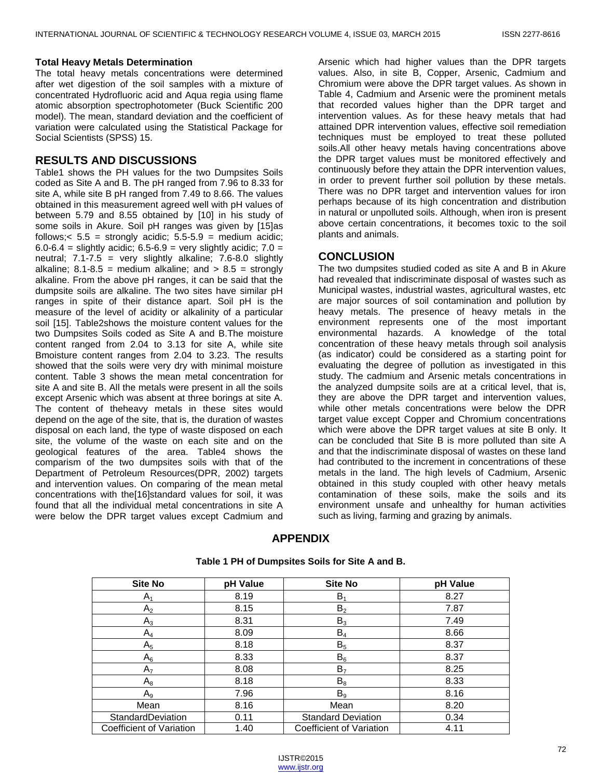#### **Total Heavy Metals Determination**

The total heavy metals concentrations were determined after wet digestion of the soil samples with a mixture of concentrated Hydrofluoric acid and Aqua regia using flame atomic absorption spectrophotometer (Buck Scientific 200 model). The mean, standard deviation and the coefficient of variation were calculated using the Statistical Package for Social Scientists (SPSS) 15.

## **RESULTS AND DISCUSSIONS**

Table1 shows the PH values for the two Dumpsites Soils coded as Site A and B. The pH ranged from 7.96 to 8.33 for site A, while site B pH ranged from 7.49 to 8.66. The values obtained in this measurement agreed well with pH values of between 5.79 and 8.55 obtained by [10] in his study of some soils in Akure. Soil pH ranges was given by [15]as follows;  $< 5.5 =$  strongly acidic;  $5.5 - 5.9 =$  medium acidic;  $6.0-6.4$  = slightly acidic;  $6.5-6.9$  = very slightly acidic;  $7.0$  = neutral;  $7.1 - 7.5$  = very slightly alkaline;  $7.6 - 8.0$  slightly alkaline;  $8.1 - 8.5$  = medium alkaline; and  $> 8.5$  = strongly alkaline. From the above pH ranges, it can be said that the dumpsite soils are alkaline. The two sites have similar pH ranges in spite of their distance apart. Soil pH is the measure of the level of acidity or alkalinity of a particular soil [15]. Table2shows the moisture content values for the two Dumpsites Soils coded as Site A and B.The moisture content ranged from 2.04 to 3.13 for site A, while site Bmoisture content ranges from 2.04 to 3.23. The results showed that the soils were very dry with minimal moisture content. Table 3 shows the mean metal concentration for site A and site B. All the metals were present in all the soils except Arsenic which was absent at three borings at site A. The content of theheavy metals in these sites would depend on the age of the site, that is, the duration of wastes disposal on each land, the type of waste disposed on each site, the volume of the waste on each site and on the geological features of the area. Table4 shows the comparism of the two dumpsites soils with that of the Department of Petroleum Resources(DPR, 2002) targets and intervention values. On comparing of the mean metal concentrations with the[16]standard values for soil, it was found that all the individual metal concentrations in site A were below the DPR target values except Cadmium and

Arsenic which had higher values than the DPR targets values. Also, in site B, Copper, Arsenic, Cadmium and Chromium were above the DPR target values. As shown in Table 4, Cadmium and Arsenic were the prominent metals that recorded values higher than the DPR target and intervention values. As for these heavy metals that had attained DPR intervention values, effective soil remediation techniques must be employed to treat these polluted soils.All other heavy metals having concentrations above the DPR target values must be monitored effectively and continuously before they attain the DPR intervention values, in order to prevent further soil pollution by these metals. There was no DPR target and intervention values for iron perhaps because of its high concentration and distribution in natural or unpolluted soils. Although, when iron is present above certain concentrations, it becomes toxic to the soil plants and animals.

## **CONCLUSION**

The two dumpsites studied coded as site A and B in Akure had revealed that indiscriminate disposal of wastes such as Municipal wastes, industrial wastes, agricultural wastes, etc are major sources of soil contamination and pollution by heavy metals. The presence of heavy metals in the environment represents one of the most important environmental hazards. A knowledge of the total concentration of these heavy metals through soil analysis (as indicator) could be considered as a starting point for evaluating the degree of pollution as investigated in this study. The cadmium and Arsenic metals concentrations in the analyzed dumpsite soils are at a critical level, that is, they are above the DPR target and intervention values, while other metals concentrations were below the DPR target value except Copper and Chromium concentrations which were above the DPR target values at site B only. It can be concluded that Site B is more polluted than site A and that the indiscriminate disposal of wastes on these land had contributed to the increment in concentrations of these metals in the land. The high levels of Cadmium, Arsenic obtained in this study coupled with other heavy metals contamination of these soils, make the soils and its environment unsafe and unhealthy for human activities such as living, farming and grazing by animals.

## **APPENDIX**

| <b>Site No</b>           | pH Value | <b>Site No</b>            | pH Value |
|--------------------------|----------|---------------------------|----------|
| $A_1$                    | 8.19     | $B_1$                     | 8.27     |
| A <sub>2</sub>           | 8.15     | B <sub>2</sub>            | 7.87     |
| $A_3$                    | 8.31     | $B_3$                     | 7.49     |
| $A_4$                    | 8.09     | $B_4$                     | 8.66     |
| $A_5$                    | 8.18     | B <sub>5</sub>            | 8.37     |
| $A_6$                    | 8.33     | $B_6$                     | 8.37     |
| A <sub>7</sub>           | 8.08     | B <sub>7</sub>            | 8.25     |
| $A_8$                    | 8.18     | $B_8$                     | 8.33     |
| A <sub>9</sub>           | 7.96     | B <sub>9</sub>            | 8.16     |
| Mean                     | 8.16     | Mean                      | 8.20     |
| StandardDeviation        | 0.11     | <b>Standard Deviation</b> | 0.34     |
| Coefficient of Variation | 1.40     | Coefficient of Variation  | 4.11     |

**Table 1 PH of Dumpsites Soils for Site A and B.**

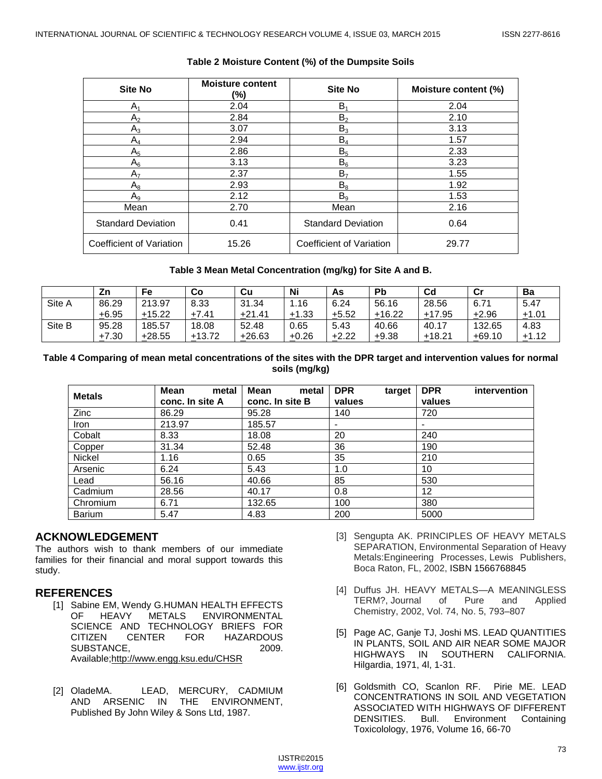| <b>Site No</b>            | <b>Moisture content</b><br>(%) | <b>Site No</b>            | Moisture content (%) |  |
|---------------------------|--------------------------------|---------------------------|----------------------|--|
| A <sub>1</sub>            | 2.04                           | В,                        | 2.04                 |  |
| A <sub>2</sub>            | 2.84                           | B <sub>2</sub>            | 2.10                 |  |
| $A_3$                     | 3.07                           | $B_3$                     | 3.13                 |  |
| $A_4$                     | 2.94                           | $B_4$                     | 1.57                 |  |
| $A_5$                     | 2.86                           | B <sub>5</sub>            | 2.33                 |  |
| $A_6$                     | 3.13                           | $B_6$                     | 3.23                 |  |
| A <sub>7</sub>            | 2.37                           | В,                        | 1.55                 |  |
| $A_8$                     | 2.93                           | $B_8$                     | 1.92                 |  |
| $A_9$                     | 2.12                           | B <sub>9</sub>            | 1.53                 |  |
| Mean                      | 2.70                           | Mean                      | 2.16                 |  |
| <b>Standard Deviation</b> | 0.41                           | <b>Standard Deviation</b> | 0.64                 |  |
| Coefficient of Variation  | 15.26                          | Coefficient of Variation  | 29.77                |  |

## **Table 2 Moisture Content (%) of the Dumpsite Soils**

#### **Table 3 Mean Metal Concentration (mg/kg) for Site A and B.**

|        | Ζn      | Fe       | Co       | Cu       | Ni      | As      | Pb       | $_{\rm Cd}$ | Сı       | Ba      |
|--------|---------|----------|----------|----------|---------|---------|----------|-------------|----------|---------|
| Site A | 86.29   | 213.97   | 8.33     | 31.34    | .16     | 6.24    | 56.16    | 28.56       | 6.71     | 5.47    |
|        | $+6.95$ | $+15.22$ | $+7.41$  | $+21.41$ | $+1.33$ | $+5.52$ | $+16.22$ | $+17.95$    | $+2.96$  | ±1.01   |
| Site B | 95.28   | 185.57   | 18.08    | 52.48    | 0.65    | 5.43    | 40.66    | 40.17       | 132.65   | 4.83    |
|        | $+7.30$ | $+28.55$ | $+13.72$ | $+26.63$ | $+0.26$ | $+2.22$ | $+9.38$  | $+18.21$    | $+69.10$ | $+1.12$ |

#### **Table 4 Comparing of mean metal concentrations of the sites with the DPR target and intervention values for normal soils (mg/kg)**

| <b>Metals</b> | <b>Mean</b><br>metal<br>conc. In site A | Mean<br>metal<br>conc. In site B | <b>DPR</b><br>target<br>values | <b>DPR</b><br>intervention<br>values |
|---------------|-----------------------------------------|----------------------------------|--------------------------------|--------------------------------------|
| Zinc          | 86.29                                   | 95.28                            | 140                            | 720                                  |
| Iron          | 213.97                                  | 185.57                           | $\blacksquare$                 |                                      |
| Cobalt        | 8.33                                    | 18.08                            | 20                             | 240                                  |
| Copper        | 31.34                                   | 52.48                            | 36                             | 190                                  |
| <b>Nickel</b> | 1.16                                    | 0.65                             | 35                             | 210                                  |
| Arsenic       | 6.24                                    | 5.43                             | 1.0                            | 10                                   |
| Lead          | 56.16                                   | 40.66                            | 85                             | 530                                  |
| Cadmium       | 28.56                                   | 40.17                            | 0.8                            | 12                                   |
| Chromium      | 6.71                                    | 132.65                           | 100                            | 380                                  |
| <b>Barium</b> | 5.47                                    | 4.83                             | 200                            | 5000                                 |

# **ACKNOWLEDGEMENT**

The authors wish to thank members of our immediate families for their financial and moral support towards this study.

# **REFERENCES**

- [1] Sabine EM, Wendy G.HUMAN HEALTH EFFECTS OF HEAVY METALS ENVIRONMENTAL SCIENCE AND TECHNOLOGY BRIEFS FOR CITIZEN CENTER FOR HAZARDOUS SUBSTANCE, 2009. Available;http://www.engg.ksu.edu/CHSR
- [2] OladeMA. LEAD, MERCURY, CADMIUM AND ARSENIC IN THE ENVIRONMENT, Published By John Wiley & Sons Ltd, 1987.
- [3] Sengupta AK. PRINCIPLES OF HEAVY METALS SEPARATION, Environmental Separation of Heavy Metals:Engineering Processes, Lewis Publishers, Boca Raton, FL, 2002, ISBN 1566768845
- [4] Duffus JH. HEAVY METALS—A MEANINGLESS TERM?, Journal of Pure and Applied Chemistry, 2002, Vol. 74, No. 5, 793–807
- [5] Page AC, Ganje TJ, Joshi MS. LEAD QUANTITIES IN PLANTS, SOIL AND AIR NEAR SOME MAJOR HIGHWAYS IN SOUTHERN CALIFORNIA. Hilgardia, 1971, 4l, 1-31.
- [6] Goldsmith CO, Scanlon RF. Pirie ME. LEAD CONCENTRATIONS IN SOIL AND VEGETATION ASSOCIATED WITH HIGHWAYS OF DIFFERENT DENSITIES. Bull. Environment Containing Toxicolology, 1976, Volume 16, 66-70